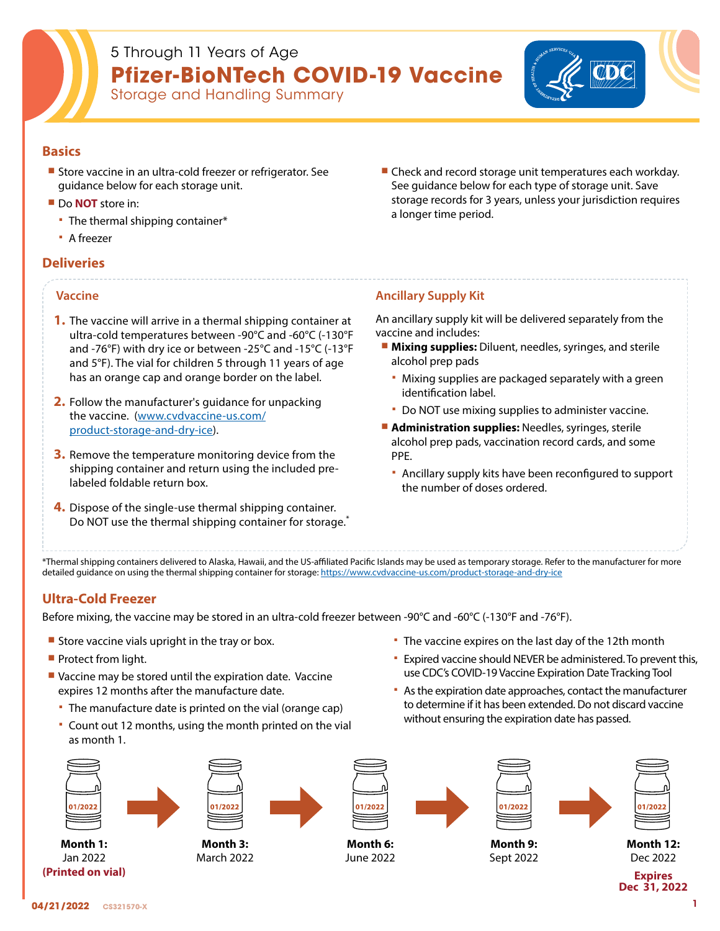

# 5 Through 11 Years of Age **Pfizer-BioNTech COVID-19 Vaccine**

Storage and Handling Summary



### **Basics**

- **Store vaccine in an ultra-cold freezer or refrigerator. See** guidance below for each storage unit.
- Do **NOT** store in:
	- The thermal shipping container\*
	- A freezer

### **Deliveries**

### **Vaccine**

- **1.** The vaccine will arrive in a thermal shipping container at ultra-cold temperatures between -90°C and -60°C (-130°F and -76°F) with dry ice or between -25°C and -15°C (-13°F and 5°F). The vial for children 5 through 11 years of age has an orange cap and orange border on the label.
- **2.** Follow the manufacturer's guidance for unpacking the vaccine. [\(www.cvdvaccine-us.com/](https://www.cvdvaccine-us.com/product-storage-and-dry-ice) [product-storage-and-dry-ice](https://www.cvdvaccine-us.com/product-storage-and-dry-ice)).
- **3.** Remove the temperature monitoring device from the shipping container and return using the included prelabeled foldable return box.
- **4.** Dispose of the single-use thermal shipping container. Do NOT use the thermal shipping container for storage.<sup>\*</sup>

■ Check and record storage unit temperatures each workday. See guidance below for each type of storage unit. Save storage records for 3 years, unless your jurisdiction requires a longer time period.

### **Ancillary Supply Kit**

An ancillary supply kit will be delivered separately from the vaccine and includes:

- **Mixing supplies:** Diluent, needles, syringes, and sterile alcohol prep pads
	- Mixing supplies are packaged separately with a green identification label.
	- Do NOT use mixing supplies to administer vaccine.
- **Administration supplies: Needles, syringes, sterile** alcohol prep pads, vaccination record cards, and some PPE.
	- Ancillary supply kits have been reconfigured to support the number of doses ordered.

The vaccine expires on the last day of the 12th month

 Expired vaccine should NEVER be administered. To prevent this, use CDC's COVID-19 Vaccine Expiration Date Tracking Tool As the expiration date approaches, contact the manufacturer to determine if it has been extended. Do not discard vaccine

\*Thermal shipping containers delivered to Alaska, Hawaii, and the US-affiliated Pacific Islands may be used as temporary storage. Refer to the manufacturer for more detailed guidance on using the thermal shipping container for storage: <https://www.cvdvaccine-us.com/product-storage-and-dry-ice>

### **Ultra-Cold Freezer**

Before mixing, the vaccine may be stored in an ultra-cold freezer between -90°C and -60°C (-130°F and -76°F).

- Store vaccine vials upright in the tray or box.
- **Protect from light.**
- Vaccine may be stored until the expiration date. Vaccine expires 12 months after the manufacture date.
	- The manufacture date is printed on the vial (orange cap)
	- Count out 12 months, using the month printed on the vial as month 1.



**Month 1:**  Jan 2022 **(Printed on vial)**







בחרו

**Month 6:** June 2022



Sept 2022

without ensuring the expiration date has passed.

| 01/2022  |  |
|----------|--|
| Month 9: |  |



**Month 12:** Dec 2022

**Expires Dec 31, 2022**

**Month 3:** March 2022